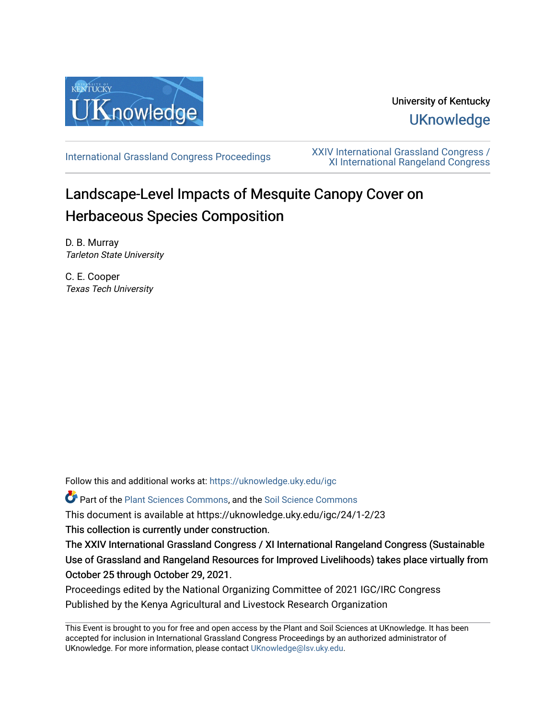

# University of Kentucky **UKnowledge**

[International Grassland Congress Proceedings](https://uknowledge.uky.edu/igc) [XXIV International Grassland Congress /](https://uknowledge.uky.edu/igc/24)  [XI International Rangeland Congress](https://uknowledge.uky.edu/igc/24) 

# Landscape-Level Impacts of Mesquite Canopy Cover on Herbaceous Species Composition

D. B. Murray Tarleton State University

C. E. Cooper Texas Tech University

Follow this and additional works at: [https://uknowledge.uky.edu/igc](https://uknowledge.uky.edu/igc?utm_source=uknowledge.uky.edu%2Figc%2F24%2F1-2%2F23&utm_medium=PDF&utm_campaign=PDFCoverPages) 

Part of the [Plant Sciences Commons](http://network.bepress.com/hgg/discipline/102?utm_source=uknowledge.uky.edu%2Figc%2F24%2F1-2%2F23&utm_medium=PDF&utm_campaign=PDFCoverPages), and the [Soil Science Commons](http://network.bepress.com/hgg/discipline/163?utm_source=uknowledge.uky.edu%2Figc%2F24%2F1-2%2F23&utm_medium=PDF&utm_campaign=PDFCoverPages) 

This document is available at https://uknowledge.uky.edu/igc/24/1-2/23

This collection is currently under construction.

The XXIV International Grassland Congress / XI International Rangeland Congress (Sustainable Use of Grassland and Rangeland Resources for Improved Livelihoods) takes place virtually from October 25 through October 29, 2021.

Proceedings edited by the National Organizing Committee of 2021 IGC/IRC Congress Published by the Kenya Agricultural and Livestock Research Organization

This Event is brought to you for free and open access by the Plant and Soil Sciences at UKnowledge. It has been accepted for inclusion in International Grassland Congress Proceedings by an authorized administrator of UKnowledge. For more information, please contact [UKnowledge@lsv.uky.edu](mailto:UKnowledge@lsv.uky.edu).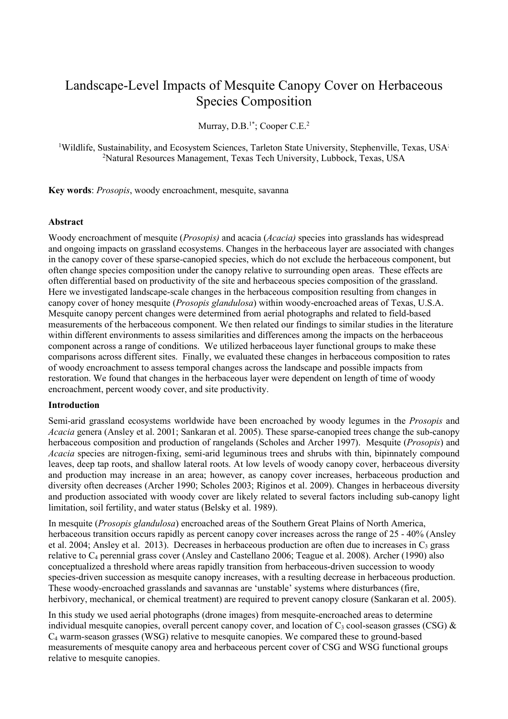## Landscape-Level Impacts of Mesquite Canopy Cover on Herbaceous Species Composition

Murray,  $D.B.^{1*}$ ; Cooper C.E.<sup>2</sup>

<sup>1</sup>Wildlife, Sustainability, and Ecosystem Sciences, Tarleton State University, Stephenville, Texas, USA<sup>;</sup> 2 Natural Resources Management, Texas Tech University, Lubbock, Texas, USA

**Key words**: *Prosopis*, woody encroachment, mesquite, savanna

## **Abstract**

Woody encroachment of mesquite (*Prosopis)* and acacia (*Acacia)* species into grasslands has widespread and ongoing impacts on grassland ecosystems. Changes in the herbaceous layer are associated with changes in the canopy cover of these sparse-canopied species, which do not exclude the herbaceous component, but often change species composition under the canopy relative to surrounding open areas. These effects are often differential based on productivity of the site and herbaceous species composition of the grassland. Here we investigated landscape-scale changes in the herbaceous composition resulting from changes in canopy cover of honey mesquite (*Prosopis glandulosa*) within woody-encroached areas of Texas, U.S.A. Mesquite canopy percent changes were determined from aerial photographs and related to field-based measurements of the herbaceous component. We then related our findings to similar studies in the literature within different environments to assess similarities and differences among the impacts on the herbaceous component across a range of conditions. We utilized herbaceous layer functional groups to make these comparisons across different sites. Finally, we evaluated these changes in herbaceous composition to rates of woody encroachment to assess temporal changes across the landscape and possible impacts from restoration. We found that changes in the herbaceous layer were dependent on length of time of woody encroachment, percent woody cover, and site productivity.

#### **Introduction**

Semi-arid grassland ecosystems worldwide have been encroached by woody legumes in the *Prosopis* and *Acacia* genera (Ansley et al. 2001; Sankaran et al. 2005). These sparse-canopied trees change the sub-canopy herbaceous composition and production of rangelands (Scholes and Archer 1997). Mesquite (*Prosopis*) and *Acacia* species are nitrogen-fixing, semi-arid leguminous trees and shrubs with thin, bipinnately compound leaves, deep tap roots, and shallow lateral roots. At low levels of woody canopy cover, herbaceous diversity and production may increase in an area; however, as canopy cover increases, herbaceous production and diversity often decreases (Archer 1990; Scholes 2003; Riginos et al. 2009). Changes in herbaceous diversity and production associated with woody cover are likely related to several factors including sub-canopy light limitation, soil fertility, and water status (Belsky et al. 1989).

In mesquite (*Prosopis glandulosa*) encroached areas of the Southern Great Plains of North America, herbaceous transition occurs rapidly as percent canopy cover increases across the range of 25 - 40% (Ansley et al. 2004; Ansley et al. 2013). Decreases in herbaceous production are often due to increases in  $C_3$  grass relative to C4 perennial grass cover (Ansley and Castellano 2006; Teague et al. 2008). Archer (1990) also conceptualized a threshold where areas rapidly transition from herbaceous-driven succession to woody species-driven succession as mesquite canopy increases, with a resulting decrease in herbaceous production. These woody-encroached grasslands and savannas are 'unstable' systems where disturbances (fire, herbivory, mechanical, or chemical treatment) are required to prevent canopy closure (Sankaran et al. 2005).

In this study we used aerial photographs (drone images) from mesquite-encroached areas to determine individual mesquite canopies, overall percent canopy cover, and location of  $C_3$  cool-season grasses (CSG) & C4 warm-season grasses (WSG) relative to mesquite canopies. We compared these to ground-based measurements of mesquite canopy area and herbaceous percent cover of CSG and WSG functional groups relative to mesquite canopies.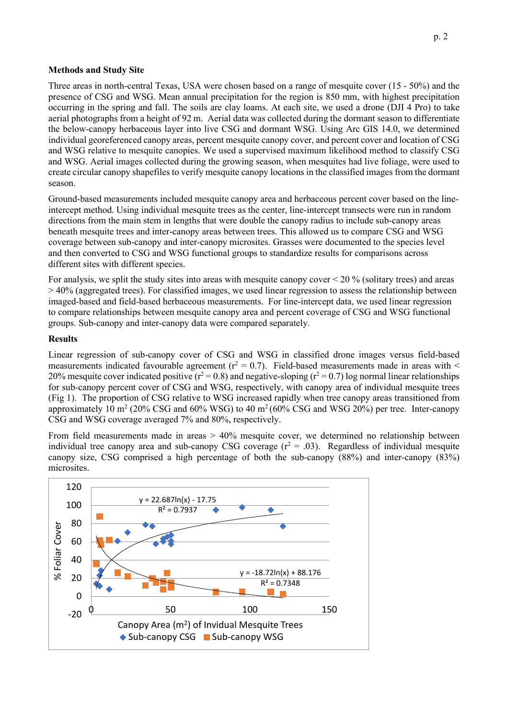#### **Methods and Study Site**

Three areas in north-central Texas, USA were chosen based on a range of mesquite cover (15 - 50%) and the presence of CSG and WSG. Mean annual precipitation for the region is 850 mm, with highest precipitation occurring in the spring and fall. The soils are clay loams. At each site, we used a drone (DJI 4 Pro) to take aerial photographs from a height of 92 m. Aerial data was collected during the dormant season to differentiate the below-canopy herbaceous layer into live CSG and dormant WSG. Using Arc GIS 14.0, we determined individual georeferenced canopy areas, percent mesquite canopy cover, and percent cover and location of CSG and WSG relative to mesquite canopies. We used a supervised maximum likelihood method to classify CSG and WSG. Aerial images collected during the growing season, when mesquites had live foliage, were used to create circular canopy shapefiles to verify mesquite canopy locations in the classified images from the dormant season.

Ground-based measurements included mesquite canopy area and herbaceous percent cover based on the lineintercept method. Using individual mesquite trees as the center, line-intercept transects were run in random directions from the main stem in lengths that were double the canopy radius to include sub-canopy areas beneath mesquite trees and inter-canopy areas between trees. This allowed us to compare CSG and WSG coverage between sub-canopy and inter-canopy microsites. Grasses were documented to the species level and then converted to CSG and WSG functional groups to standardize results for comparisons across different sites with different species.

For analysis, we split the study sites into areas with mesquite canopy cover < 20 % (solitary trees) and areas > 40% (aggregated trees). For classified images, we used linear regression to assess the relationship between imaged-based and field-based herbaceous measurements. For line-intercept data, we used linear regression to compare relationships between mesquite canopy area and percent coverage of CSG and WSG functional groups. Sub-canopy and inter-canopy data were compared separately.

## **Results**

Linear regression of sub-canopy cover of CSG and WSG in classified drone images versus field-based measurements indicated favourable agreement ( $r^2 = 0.7$ ). Field-based measurements made in areas with  $\leq$ 20% mesquite cover indicated positive ( $r^2$  = 0.8) and negative-sloping ( $r^2$  = 0.7) log normal linear relationships for sub-canopy percent cover of CSG and WSG, respectively, with canopy area of individual mesquite trees (Fig 1). The proportion of CSG relative to WSG increased rapidly when tree canopy areas transitioned from approximately 10 m<sup>2</sup> (20% CSG and 60% WSG) to 40 m<sup>2</sup> (60% CSG and WSG 20%) per tree. Inter-canopy CSG and WSG coverage averaged 7% and 80%, respectively.

From field measurements made in areas > 40% mesquite cover, we determined no relationship between individual tree canopy area and sub-canopy CSG coverage  $(r^2 = .03)$ . Regardless of individual mesquite canopy size, CSG comprised a high percentage of both the sub-canopy (88%) and inter-canopy (83%) microsites.

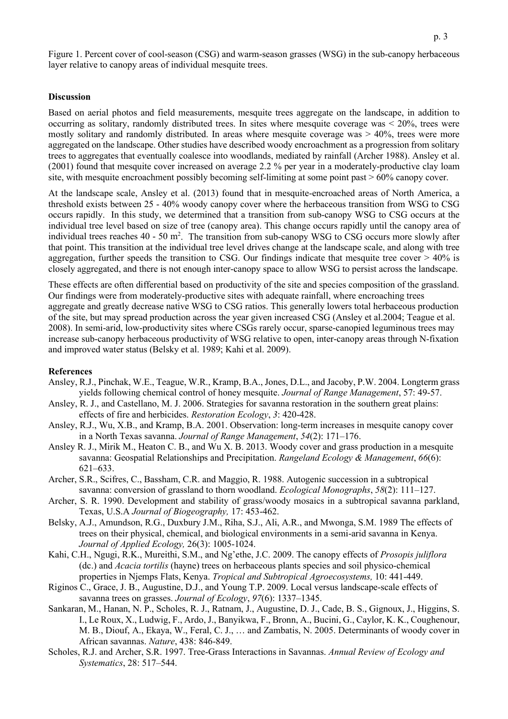Figure 1. Percent cover of cool-season (CSG) and warm-season grasses (WSG) in the sub-canopy herbaceous layer relative to canopy areas of individual mesquite trees.

#### **Discussion**

Based on aerial photos and field measurements, mesquite trees aggregate on the landscape, in addition to occurring as solitary, randomly distributed trees. In sites where mesquite coverage was < 20%, trees were mostly solitary and randomly distributed. In areas where mesquite coverage was  $> 40\%$ , trees were more aggregated on the landscape. Other studies have described woody encroachment as a progression from solitary trees to aggregates that eventually coalesce into woodlands, mediated by rainfall (Archer 1988). Ansley et al. (2001) found that mesquite cover increased on average 2.2 % per year in a moderately-productive clay loam site, with mesquite encroachment possibly becoming self-limiting at some point past > 60% canopy cover.

At the landscape scale, Ansley et al. (2013) found that in mesquite-encroached areas of North America, a threshold exists between 25 - 40% woody canopy cover where the herbaceous transition from WSG to CSG occurs rapidly. In this study, we determined that a transition from sub-canopy WSG to CSG occurs at the individual tree level based on size of tree (canopy area). This change occurs rapidly until the canopy area of individual trees reaches 40 - 50 m<sup>2</sup>. The transition from sub-canopy WSG to CSG occurs more slowly after that point. This transition at the individual tree level drives change at the landscape scale, and along with tree aggregation, further speeds the transition to CSG. Our findings indicate that mesquite tree cover  $> 40\%$  is closely aggregated, and there is not enough inter-canopy space to allow WSG to persist across the landscape.

These effects are often differential based on productivity of the site and species composition of the grassland. Our findings were from moderately-productive sites with adequate rainfall, where encroaching trees aggregate and greatly decrease native WSG to CSG ratios. This generally lowers total herbaceous production of the site, but may spread production across the year given increased CSG (Ansley et al.2004; Teague et al. 2008). In semi-arid, low-productivity sites where CSGs rarely occur, sparse-canopied leguminous trees may increase sub-canopy herbaceous productivity of WSG relative to open, inter-canopy areas through N-fixation and improved water status (Belsky et al. 1989; Kahi et al. 2009).

#### **References**

- Ansley, R.J., Pinchak, W.E., Teague, W.R., Kramp, B.A., Jones, D.L., and Jacoby, P.W. 2004. Longterm grass yields following chemical control of honey mesquite. *Journal of Range Management*, 57: 49-57.
- Ansley, R. J., and Castellano, M. J. 2006. Strategies for savanna restoration in the southern great plains: effects of fire and herbicides. *Restoration Ecology*, *3*: 420-428.
- Ansley, R.J., Wu, X.B., and Kramp, B.A. 2001. Observation: long-term increases in mesquite canopy cover in a North Texas savanna. *Journal of Range Management*, *54*(2): 171–176.
- Ansley R. J., Mirik M., Heaton C. B., and Wu X. B. 2013. Woody cover and grass production in a mesquite savanna: Geospatial Relationships and Precipitation. *Rangeland Ecology & Management*, *66*(6): 621–633.
- Archer, S.R., Scifres, C., Bassham, C.R. and Maggio, R. 1988. Autogenic succession in a subtropical savanna: conversion of grassland to thorn woodland. *Ecological Monographs*, *58*(2): 111–127.
- Archer, S. R. 1990. Development and stability of grass/woody mosaics in a subtropical savanna parkland, Texas, U.S.A *Journal of Biogeography,* 17: 453-462.
- Belsky, A.J., Amundson, R.G., Duxbury J.M., Riha, S.J., Ali, A.R., and Mwonga, S.M. 1989 The effects of trees on their physical, chemical, and biological environments in a semi-arid savanna in Kenya. *Journal of Applied Ecology,* 26(3): 1005-1024.
- Kahi, C.H., Ngugi, R.K., Mureithi, S.M., and Ng'ethe, J.C. 2009. The canopy effects of *Prosopis juliflora*  (dc.) and *Acacia tortilis* (hayne) trees on herbaceous plants species and soil physico-chemical properties in Njemps Flats, Kenya. *Tropical and Subtropical Agroecosystems,* 10: 441-449.
- Riginos C., Grace, J. B., Augustine, D.J., and Young T.P. 2009. Local versus landscape-scale effects of savanna trees on grasses. *Journal of Ecology*, *97*(6): 1337–1345.
- Sankaran, M., Hanan, N. P., Scholes, R. J., Ratnam, J., Augustine, D. J., Cade, B. S., Gignoux, J., Higgins, S. I., Le Roux, X., Ludwig, F., Ardo, J., Banyikwa, F., Bronn, A., Bucini, G., Caylor, K. K., Coughenour, M. B., Diouf, A., Ekaya, W., Feral, C. J., … and Zambatis, N. 2005. Determinants of woody cover in African savannas. *Nature*, 438: 846-849.
- Scholes, R.J. and Archer, S.R. 1997. Tree-Grass Interactions in Savannas. *Annual Review of Ecology and Systematics*, 28: 517–544.